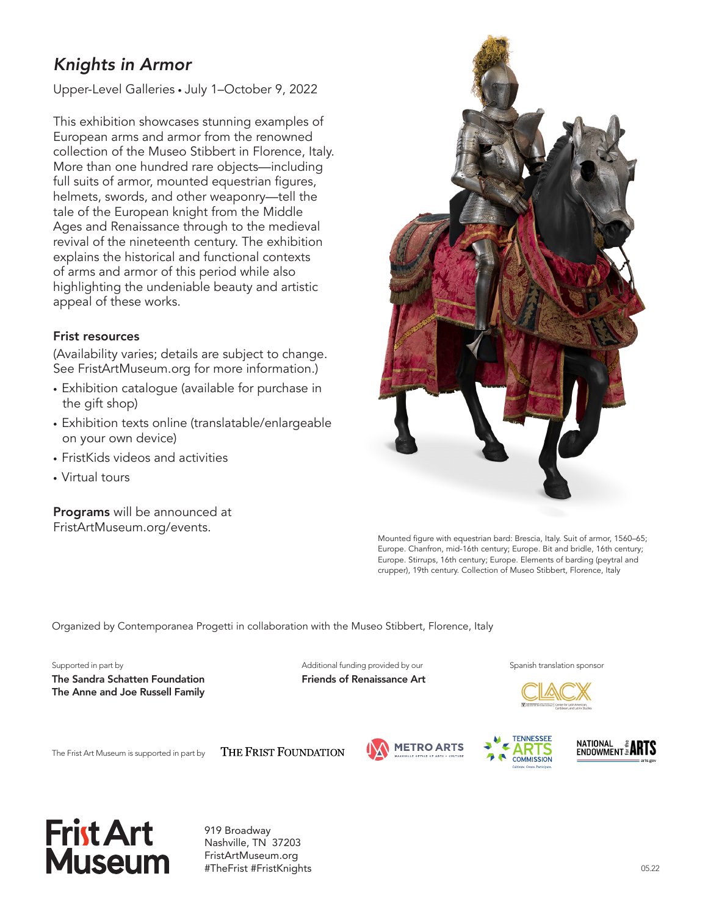# *Knights in Armor*

Upper-Level Galleries • July 1–October 9, 2022

This exhibition showcases stunning examples of European arms and armor from the renowned collection of the Museo Stibbert in Florence, Italy. More than one hundred rare objects—including full suits of armor, mounted equestrian figures, helmets, swords, and other weaponry—tell the tale of the European knight from the Middle Ages and Renaissance through to the medieval revival of the nineteenth century. The exhibition explains the historical and functional contexts of arms and armor of this period while also highlighting the undeniable beauty and artistic appeal of these works.

#### Frist resources

(Availability varies; details are subject to change. See FristArtMuseum.org for more information.)

- Exhibition catalogue (available for purchase in the gift shop)
- Exhibition texts online (translatable/enlargeable on your own device)
- FristKids videos and activities
- Virtual tours

Programs will be announced at FristArtMuseum.org/events.



Mounted figure with equestrian bard: Brescia, Italy. Suit of armor, 1560–65; Europe. Chanfron, mid-16th century; Europe. Bit and bridle, 16th century; Europe. Stirrups, 16th century; Europe. Elements of barding (peytral and crupper), 19th century. Collection of Museo Stibbert, Florence, Italy

Organized by Contemporanea Progetti in collaboration with the Museo Stibbert, Florence, Italy

The Sandra Schatten Foundation Friends of Renaissance Art The Anne and Joe Russell Family

Supported in part by Supported in part by Additional funding provided by our Spanish translation sponsor



The Frist Art Museum is supported in part by

THE FRIST FOUNDATION







919 Broadway Nashville, TN 37203 FristArtMuseum.org #TheFrist #FristKnights